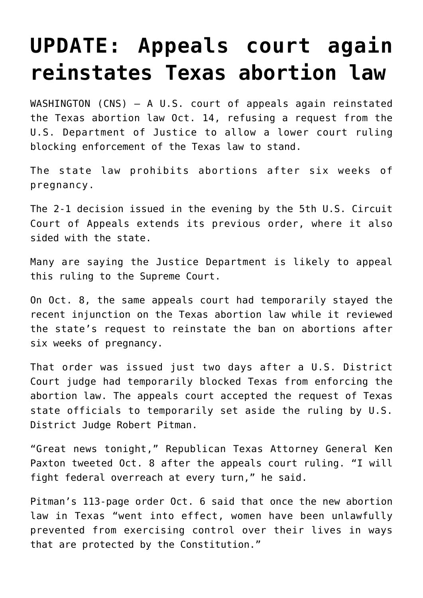## **[UPDATE: Appeals court again](https://www.osvnews.com/2021/10/11/appeals-court-temporarily-reinstates-texas-abortion-law/) [reinstates Texas abortion law](https://www.osvnews.com/2021/10/11/appeals-court-temporarily-reinstates-texas-abortion-law/)**

WASHINGTON (CNS) — A U.S. court of appeals again reinstated the Texas abortion law Oct. 14, refusing a request from the U.S. Department of Justice to allow a lower court ruling blocking enforcement of the Texas law to stand.

The state law prohibits abortions after six weeks of pregnancy.

The 2-1 decision issued in the evening by the 5th U.S. Circuit Court of Appeals extends its previous order, where it also sided with the state.

Many are saying the Justice Department is likely to appeal this ruling to the Supreme Court.

On Oct. 8, the same appeals court had temporarily stayed the recent injunction on the Texas abortion law while it reviewed the state's request to reinstate the ban on abortions after six weeks of pregnancy.

That order was issued just two days after a U.S. District Court judge had temporarily blocked Texas from enforcing the abortion law. The appeals court accepted the request of Texas state officials to temporarily set aside the ruling by U.S. District Judge Robert Pitman.

"Great news tonight," Republican Texas Attorney General Ken Paxton tweeted Oct. 8 after the appeals court ruling. "I will fight federal overreach at every turn," he said.

Pitman's 113-page order Oct. 6 said that once the new abortion law in Texas "went into effect, women have been unlawfully prevented from exercising control over their lives in ways that are protected by the Constitution."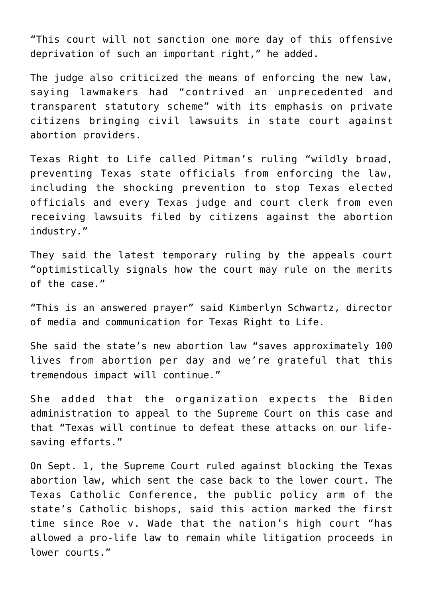"This court will not sanction one more day of this offensive deprivation of such an important right," he added.

The judge also criticized the means of enforcing the new law, saying lawmakers had "contrived an unprecedented and transparent statutory scheme" with its emphasis on private citizens bringing civil lawsuits in state court against abortion providers.

Texas Right to Life called Pitman's ruling "wildly broad, preventing Texas state officials from enforcing the law, including the shocking prevention to stop Texas elected officials and every Texas judge and court clerk from even receiving lawsuits filed by citizens against the abortion industry."

They said the latest temporary ruling by the appeals court "optimistically signals how the court may rule on the merits of the case."

"This is an answered prayer" said Kimberlyn Schwartz, director of media and communication for Texas Right to Life.

She said the state's new abortion law "saves approximately 100 lives from abortion per day and we're grateful that this tremendous impact will continue."

She added that the organization expects the Biden administration to appeal to the Supreme Court on this case and that "Texas will continue to defeat these attacks on our lifesaving efforts."

On Sept. 1, the Supreme Court ruled against blocking the Texas abortion law, which sent the case back to the lower court. The Texas Catholic Conference, the public policy arm of the state's Catholic bishops, said this action marked the first time since Roe v. Wade that the nation's high court "has allowed a pro-life law to remain while litigation proceeds in lower courts."